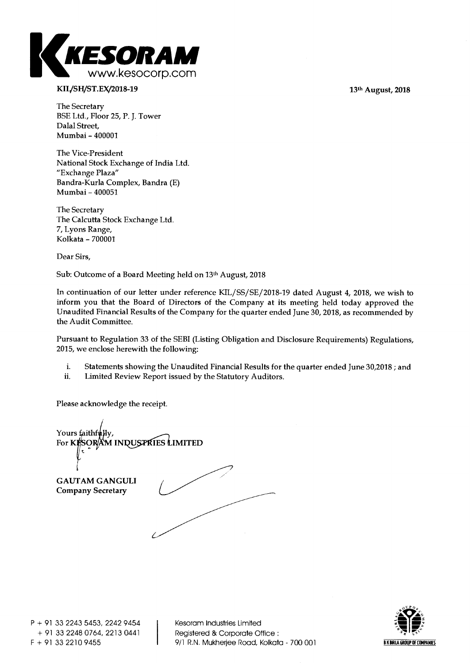

## KIL/SH/ST.EX/2018-19 13<sup>th</sup> August, 2018

**The Secretary BSE Ltd., Floor 25, P. J. Tower Dalal Street, Mumbai - 400001** 

**The Vice-President National Stock Exchange of India Ltd. "Exchange Plaza" Bandra-Kurla Complex, Bandra (E) Mumbai - 400051** 

**The Secretary The Calcutta Stock Exchange Ltd. 7, Lyons Range, Kolkata - 700001** 

**Dear Sirs,** 

**Sub: Outcome of a Board Meeting held on 13th August, 2018** 

**In continuation of our letter under reference KIL/SS/SE/2018-19 dated August 4, 2018, we wish to inform you that the Board of Directors of the Company at its meeting held today approved the Unaudited Financial Results of the Company for the quarter ended June 30, 2018, as recommended by the Audit Committee.** 

**Pursuant to Regulation 33 of the SEBI (Listing Obligation and Disclosure Requirements) Regulations, 2015, we enclose herewith the following:** 

- **i. Statements showing the Unaudited Financial Results for the quarter ended June 30,2018 ; and**
- **ii. Limited Review Report issued by the Statutory Auditors.**

**Please acknowledge the receipt.** 

Yours faithfu For KE 'SOR**AM INDUS**PRIES LIMITED **GAUTAM GANGULI Company Secretary** 

**9/1 R.N. Mukherjee Road, Kolkata - 700 001 <b>BE BEARLA GROUP OF COMPANIES** 

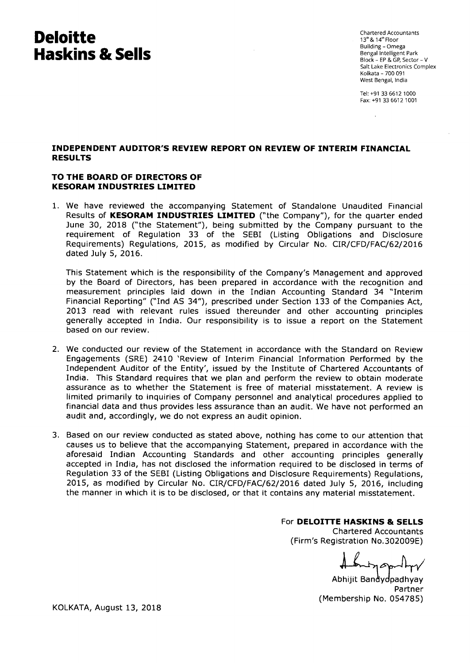# **Deloitte Haskins & Sells**

Chartered Accountants 13<sup>th</sup> & 14<sup>th</sup> Floor Building-Omega Bengal Intelligent Park Block - EP & GP, Sector - V Salt Lake Electronics Complex Kolkata - 700 091 West Bengal, India

Tel: +91 33 6612 1000 Fax: +91 33 6612 1001

## **INDEPENDENT AUDITOR'S REVIEW REPORT ON REVIEW OF INTERIM FINANCIAL RESULTS**

### **TO THE BOARD OF DIRECTORS OF KESORAM INDUSTRIES LIMITED**

1. We have reviewed the accompanying Statement of Standalone Unaudited Financial Results of **KESORAM INDUSTRIES LIMITED** ("the Company"), for the quarter ended June 30, 2018 ("the Statement"), being submitted by the Company pursuant to the requirement of Regulation 33 of the SEBI (Listing Obligations and Disclosure Requirements) Regulations, 2015, as modified by Circular No. CIR/CFD/FAC/62/2016 dated July 5, 2016.

This Statement which is the responsibility of the Company's Management and approved by the Board of Directors, has been prepared in accordance with the recognition and measurement principles laid down in the Indian Accounting Standard 34 "Interim Financial Reporting" ("Ind AS 34"), prescribed under Section 133 of the Companies Act, 2013 read with relevant rules issued thereunder and other accounting principles generally accepted in India. Our responsibility is to issue a report on the Statement based on our review.

- 2. We conducted our review of the Statement in accordance with the Standard on Review Engagements (SRE) 2410 'Review of Interim Financial Information Performed by the Independent Auditor of the Entity', issued by the Institute of Chartered Accountants of India. This Standard requires that we plan and perform the review to obtain moderate assurance as to whether the Statement is free of material misstatement. A review is limited primarily to inquiries of Company personnel and analytical procedures applied to financial data and thus provides less assurance than an audit. We have not performed an audit and, accordingly, we do not express an audit opinion.
- 3. Based on our review conducted as stated above, nothing has come to our attention that causes us to believe that the accompanying Statement, prepared in accordance with the aforesaid Indian Accounting Standards and other accounting principles generally accepted in India, has not disclosed the information required to be disclosed in terms of Regulation 33 of the SEBI (Listing Obligations and Disclosure Requirements) Regulations, 2015, as modified by Circular No. CIR/CFD/FAC/62/2016 dated July 5, 2016, including the manner in which it is to be disclosed, or that it contains any material misstatement.

## For **DELOITTE HASKINS & SELLS**

Chartered Accountants (Firm's Registration No.302009E)

Abhijit Bandydpadhyay Partner (Membership No. 054785)

KOLKATA, August 13, 2018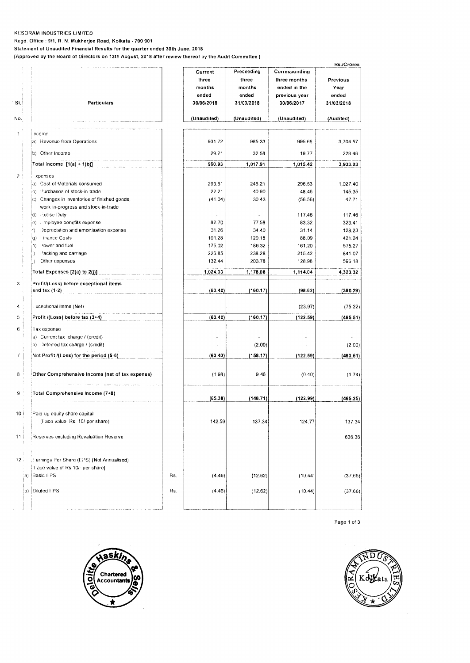#### KESORAM **INDUSTRIES LIMITED**

Regd. Office : **9/1, R. N. Mukherjee Road, Kolkata - 700 001 Statement of Unaudited Financial Results for the quarter ended 30th June, 2018** 

(Approved by the **Board of Directors on 13th August, 2018 after review thereof by the Audit Committee )** 

|                |                                                 |     |                  |                  |                  | Rs./Crores       |
|----------------|-------------------------------------------------|-----|------------------|------------------|------------------|------------------|
|                |                                                 |     | Current          | Preceeding       | Corresponding    |                  |
|                |                                                 |     | three            | three            | three months     | Previous         |
|                |                                                 |     | months           | months           | ended in the     | Year             |
|                |                                                 |     | ended            | ended            | previous year    | ended            |
| SI.            | Particulars                                     |     | 30/06/2018       | 31/03/2018       | 30/06/2017       | 31/03/2018       |
| No.            |                                                 |     | (Unaudited)      | (Unaudited)      | (Unaudited)      | (Audited)        |
|                | Income                                          |     |                  |                  |                  |                  |
|                | a) Revenue from Operations                      |     | 931.72           | 985.33           | 995.65           | 3,704.57         |
|                | b) Other Income                                 |     | 29.21            | 32.58            | 19.77            | 228.46           |
|                | Total Income [1(a) + 1(b)]                      |     | 960.93           | 1,017.91         | 1,015.42         | 3,933.03         |
| 2 <sup>1</sup> | ! xpenses                                       |     |                  |                  |                  |                  |
|                | a) Cost of Materials consumed                   |     | 293.61           | 246.21           | 296.53           | 1,027.40         |
|                | b) Purchases of stock-in-trade                  |     | 22.21            | 40.90            | 48.46            | 145.35           |
|                | c) Changes in inventories of finished goods,    |     | (41.04)          | 30.43            | (56.56)          | 47.71            |
|                | work in progress and stock in trade             |     |                  |                  |                  |                  |
|                | d) Excise Duty                                  |     |                  |                  | 117.46           | 117.46           |
|                | e) Employee benefits expense                    |     | 82.70            | 77.58            | 83.32            | 323.41           |
|                | Depreciation and amortisation expense<br>·f).   |     | 31.26            | 34.40            | 31.14            | 128.23           |
|                | g) Finance Costs                                |     | 101.28           | 120.18           | 88.09            | 421.24           |
|                | Power and fuel<br>h)<br>Packing and carriage    |     | 175.02           | 186.32           | 161.20           | 675.27           |
|                | i)<br>Other expenses<br>j)                      |     | 226.85<br>132.44 | 238.28<br>203.78 | 215.42<br>128.98 | 841.07<br>596.18 |
|                |                                                 |     |                  |                  |                  |                  |
|                | Total Expenses [2(a) to 2(j)]                   |     | 1,024.33         | 1,178.08         | 1,114.04         | 4,323.32         |
| 3              | Profit/(Loss) before exceptional items          |     |                  |                  |                  |                  |
|                | and tax $(1-2)$                                 |     | (63.40)          | (160.17)         | (98.62)          | (390.29)         |
| 4              | Exceptional items (Net)                         |     |                  |                  | (23.97)          | (75.22)          |
| 5              | Profit /(Loss) before tax (3+4)                 |     | (63.40)          | (160.17)         | (122.59)         | (465.51)         |
| 6              | Tax expense                                     |     |                  |                  |                  |                  |
|                | a) Current tax charge / (credit)                |     |                  |                  |                  |                  |
|                | b) Deferred tax charge / (credit)               |     |                  | (2.00)           |                  | (2.00)           |
|                | Net Profit /(Loss) for the period (5-6)         |     | (63.40)          | (158.17)         | (122.59)         | (463.51)         |
| 8 <sup>1</sup> | Other Comprehensive Income (net of tax expense) |     | (1.98)           | 9.46             | (0.40)           | (1.74)           |
| 9              | Total Comprehensive Income (7+8)                |     |                  |                  |                  |                  |
|                |                                                 |     | (65.38)          | (148.71)         | (122.99)         | (465.25)         |
| 10 (           | Paid up equity share capital                    |     |                  |                  |                  |                  |
|                | (Face value Rs. 10/-per share)                  |     | 142.59           | 137.34           | 124.77           | 137.34           |
| 11             | Reserves excluding Revaluation Reserve          |     |                  |                  |                  | 636.36           |
| 12.1           | Farnings Per Share (EPS) (Not Annualised)       |     |                  |                  |                  |                  |
|                | If ace value of Rs.10/- per share]              |     |                  |                  |                  |                  |
|                | a) Basic LPS                                    | Rs. | (4.46)           | (12.62)          | (10.44)          | (37.66)          |
|                | b) Diluted EPS                                  |     |                  | (12.62)          |                  |                  |
|                |                                                 | Rs. | (4.46)           |                  | (10.44)          | (37.66)          |
|                |                                                 |     |                  |                  |                  |                  |

Page 1 of 3



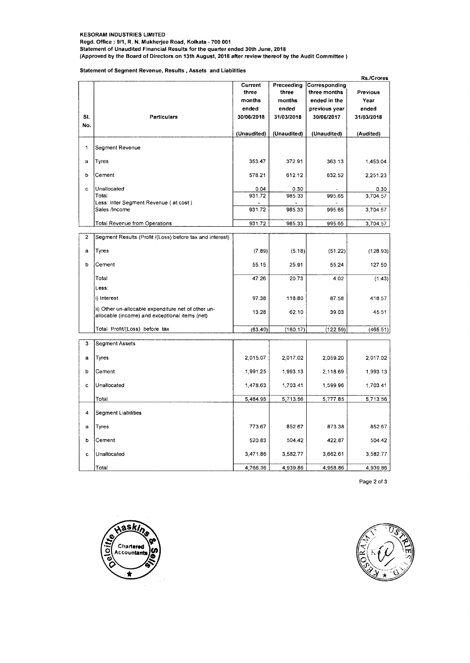#### **KESORAM INDUSTRIES LIMITED**

**Regd. Office : 9/1, R. N. Mukherjee Road, Kolkata - 700 001** 

**Statement of Unaudited Financial Results for the quarter ended 30th June, 2018** 

**(Approved by the Board of Directors on 13th August, 2018 after review thereof by the Audit Committee )** 

#### **Statement of Segment Revenue, Results , Assets and Liabilities**

|                         |                                                                                                       |                     |                     |                             | <b>Rs./Crores</b>   |
|-------------------------|-------------------------------------------------------------------------------------------------------|---------------------|---------------------|-----------------------------|---------------------|
|                         |                                                                                                       | Current             | Preceeding          | Corresponding               |                     |
|                         |                                                                                                       | three               | three               | three months                | <b>Previous</b>     |
|                         |                                                                                                       | months              | months              | ended in the                | Year                |
| SI.                     | <b>Particulars</b>                                                                                    | ended<br>30/06/2018 | ended<br>31/03/2018 | previous year<br>30/06/2017 | ended<br>31/03/2018 |
| No.                     |                                                                                                       |                     |                     |                             |                     |
|                         |                                                                                                       | (Unaudited)         | (Unaudited)         | (Unaudited)                 | (Audited)           |
| 1                       | Segment Revenue                                                                                       |                     |                     |                             |                     |
| a                       | Tyres                                                                                                 | 353.47              | 372.91              | 363.13                      | 1,453.04            |
| þ                       | Cement                                                                                                | 578.21              | 612.12              | 632,52                      | 2,251.23            |
| c.                      | Unallocated                                                                                           | 0.04                | 0.30                |                             | 0.30                |
|                         | Total                                                                                                 | 931.72              | 985.33              | 995.65                      | 3,704.57            |
|                         | Less: Inter Segment Revenue (at cost)<br>Sales /Income                                                | 931.72              | 985.33              | 995.65                      | 3,704.57            |
|                         | Total Revenue from Operations                                                                         | 931.72              | 985.33              | 995.65                      | 3,704.57            |
| $\overline{\mathbf{c}}$ | Segment Results (Profit /(Loss) before tax and interest)                                              |                     |                     |                             |                     |
|                         |                                                                                                       |                     |                     |                             |                     |
| a                       | Tyres                                                                                                 | (7.89)              | (5.18)              | (51.22)                     | (128.93)            |
| b                       | Cement                                                                                                | 55.15               | 25.91               | 55.24                       | 127.50              |
|                         | Total                                                                                                 | 47.26               | 20.73               | 4.02                        | (1.43)              |
|                         | Less:                                                                                                 |                     |                     |                             |                     |
|                         | i) Interest                                                                                           | 97.38               | 118.80              | 87.58                       | 418.57              |
|                         | ii) Other un-allocable expenditure net of other un-<br>allocable (income) and exceptional items (net) | 13.28               | 62.10               | 39.03                       | 45.51               |
|                         | Total Profit/(Loss) before tax                                                                        | (63.40)             | (160.17)            | (122.59)                    | (465.51)            |
| 3                       | Segment Assets                                                                                        |                     |                     |                             |                     |
|                         |                                                                                                       |                     |                     |                             |                     |
| a                       | Tyres                                                                                                 | 2,015.07            | 2,017.02            | 2,059.20                    | 2,017.02            |
| b                       | Cement                                                                                                | 1,991.25            | 1,993.13            | 2,118.69                    | 1,993.13            |
| c                       | Unallocated                                                                                           | 1,478.63            | 1,703.41            | 1,599.96                    | 1,703.41            |
|                         | Total                                                                                                 | 5,484.95            | 5,713.56            | 5,777.85                    | 5,713.56            |
| 4                       | Segment Liabilities                                                                                   |                     |                     |                             |                     |
| a                       | Tyres                                                                                                 | 773.67              | 852.67              | 873.38                      | 852.67              |
| b                       | Cement                                                                                                | 520.83              | 504.42              | 422.87                      | 504.42              |
| c                       | Unallocated                                                                                           | 3,471.86            | 3,582.77            | 3,662.61                    | 3,582.77            |
|                         | Total                                                                                                 | 4,766.36            | 4,939.86            | 4,958.86                    | 4,939.86            |

Page 2 of 3